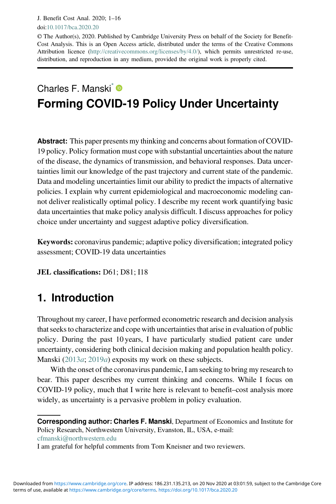#### J. Benefit Cost Anal. 2020; 1–16 doi[:10.1017/bca.2020.20](https://doi.org/10.1017/bca.2020.20)

© The Author(s), 2020. Published by Cambridge University Press on behalf of the Society for Benefit-Cost Analysis. This is an Open Access article, distributed under the terms of the Creative Commons Attribution licence (<http://creativecommons.org/licenses/by/4.0/>), which permits unrestricted re-use, distribution, and reproduction in any medium, provided the original work is properly cited.

# Charles F. Manski<sup>[\\*](#page-0-0)</sup> Forming COVID-19 Policy Under Uncertainty

Abstract: This paper presents my thinking and concerns about formation of COVID-19 policy. Policy formation must cope with substantial uncertainties about the nature of the disease, the dynamics of transmission, and behavioral responses. Data uncertainties limit our knowledge of the past trajectory and current state of the pandemic. Data and modeling uncertainties limit our ability to predict the impacts of alternative policies. I explain why current epidemiological and macroeconomic modeling cannot deliver realistically optimal policy. I describe my recent work quantifying basic data uncertainties that make policy analysis difficult. I discuss approaches for policy choice under uncertainty and suggest adaptive policy diversification.

Keywords: coronavirus pandemic; adaptive policy diversification; integrated policy assessment; COVID-19 data uncertainties

JEL classifications: D61; D81; I18

### 1. Introduction

Throughout my career, I have performed econometric research and decision analysis that seeks to characterize and cope with uncertainties that arise in evaluation of public policy. During the past 10 years, I have particularly studied patient care under uncertainty, considering both clinical decision making and population health policy. Manski [\(2013](#page-14-0)a; [2019](#page-14-1)a) exposits my work on these subjects.

With the onset of the coronavirus pandemic, I am seeking to bring my research to bear. This paper describes my current thinking and concerns. While I focus on COVID-19 policy, much that I write here is relevant to benefit–cost analysis more widely, as uncertainty is a pervasive problem in policy evaluation.

[cfmanski@northwestern.edu](mailto:cfmanski@northwestern.edu)

<span id="page-0-0"></span>Corresponding author: Charles F. Manski, Department of Economics and Institute for Policy Research, Northwestern University, Evanston, IL, USA, e-mail:

I am grateful for helpful comments from Tom Kneisner and two reviewers.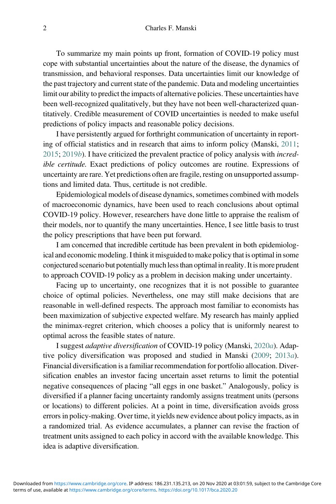To summarize my main points up front, formation of COVID-19 policy must cope with substantial uncertainties about the nature of the disease, the dynamics of transmission, and behavioral responses. Data uncertainties limit our knowledge of the past trajectory and current state of the pandemic. Data and modeling uncertainties limit our ability to predict the impacts of alternative policies. These uncertainties have been well-recognized qualitatively, but they have not been well-characterized quantitatively. Credible measurement of COVID uncertainties is needed to make useful predictions of policy impacts and reasonable policy decisions.

I have persistently argued for forthright communication of uncertainty in reporting of official statistics and in research that aims to inform policy (Manski, [2011](#page-14-2); [2015](#page-14-3); [2019](#page-14-4)b). I have criticized the prevalent practice of policy analysis with incredible certitude. Exact predictions of policy outcomes are routine. Expressions of uncertainty are rare. Yet predictions often are fragile, resting on unsupported assumptions and limited data. Thus, certitude is not credible.

Epidemiological models of disease dynamics, sometimes combined with models of macroeconomic dynamics, have been used to reach conclusions about optimal COVID-19 policy. However, researchers have done little to appraise the realism of their models, nor to quantify the many uncertainties. Hence, I see little basis to trust the policy prescriptions that have been put forward.

I am concerned that incredible certitude has been prevalent in both epidemiological and economic modeling. I think it misguided to make policy that is optimal in some conjectured scenario but potentially much less than optimal in reality. It is more prudent to approach COVID-19 policy as a problem in decision making under uncertainty.

Facing up to uncertainty, one recognizes that it is not possible to guarantee choice of optimal policies. Nevertheless, one may still make decisions that are reasonable in well-defined respects. The approach most familiar to economists has been maximization of subjective expected welfare. My research has mainly applied the minimax-regret criterion, which chooses a policy that is uniformly nearest to optimal across the feasible states of nature.

I suggest adaptive diversification of COVID-19 policy (Manski, [2020](#page-14-5)a). Adaptive policy diversification was proposed and studied in Manski [\(2009](#page-14-6); [2013](#page-14-0)a). Financial diversification is a familiar recommendation for portfolio allocation. Diversification enables an investor facing uncertain asset returns to limit the potential negative consequences of placing "all eggs in one basket." Analogously, policy is diversified if a planner facing uncertainty randomly assigns treatment units (persons or locations) to different policies. At a point in time, diversification avoids gross errors in policy-making. Over time, it yields new evidence about policy impacts, as in a randomized trial. As evidence accumulates, a planner can revise the fraction of treatment units assigned to each policy in accord with the available knowledge. This idea is adaptive diversification.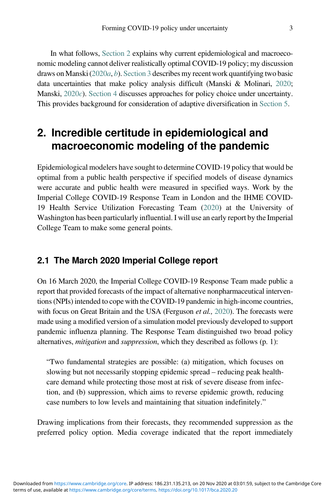In what follows, [Section 2](#page-2-0) explains why current epidemiological and macroeconomic modeling cannot deliver realistically optimal COVID-19 policy; my discussion draws on Manski [\(2020](#page-14-5)a, [b](#page-14-7)). [Section 3](#page-5-0) describes my recent work quantifying two basic data uncertainties that make policy analysis difficult (Manski & Molinari, [2020;](#page-14-8) Manski, [2020](#page-14-9)c). [Section 4](#page-9-0) discusses approaches for policy choice under uncertainty. This provides background for consideration of adaptive diversification in [Section 5](#page-11-0).

## <span id="page-2-0"></span>2. Incredible certitude in epidemiological and macroeconomic modeling of the pandemic

Epidemiological modelers have sought to determine COVID-19 policy that would be optimal from a public health perspective if specified models of disease dynamics were accurate and public health were measured in specified ways. Work by the Imperial College COVID-19 Response Team in London and the IHME COVID-19 Health Service Utilization Forecasting Team ([2020\)](#page-13-0) at the University of Washington has been particularly influential. I will use an early report by the Imperial College Team to make some general points.

#### 2.1 The March 2020 Imperial College report

On 16 March 2020, the Imperial College COVID-19 Response Team made public a report that provided forecasts of the impact of alternative nonpharmaceutical interventions (NPIs) intended to cope with the COVID-19 pandemic in high-income countries, with focus on Great Britain and the USA (Ferguson et al., [2020](#page-13-1)). The forecasts were made using a modified version of a simulation model previously developed to support pandemic influenza planning. The Response Team distinguished two broad policy alternatives, mitigation and suppression, which they described as follows (p. 1):

"Two fundamental strategies are possible: (a) mitigation, which focuses on slowing but not necessarily stopping epidemic spread – reducing peak healthcare demand while protecting those most at risk of severe disease from infection, and (b) suppression, which aims to reverse epidemic growth, reducing case numbers to low levels and maintaining that situation indefinitely."

Drawing implications from their forecasts, they recommended suppression as the preferred policy option. Media coverage indicated that the report immediately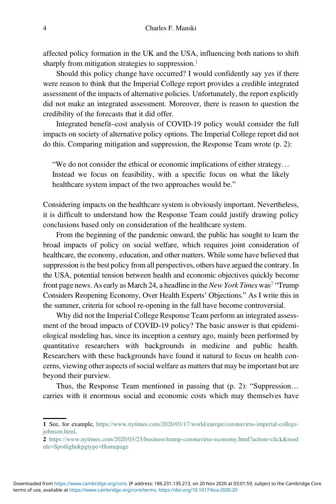affected policy formation in the UK and the USA, influencing both nations to shift sharply from mitigation strategies to suppression.<sup>[1](#page-3-0)</sup>

Should this policy change have occurred? I would confidently say yes if there were reason to think that the Imperial College report provides a credible integrated assessment of the impacts of alternative policies. Unfortunately, the report explicitly did not make an integrated assessment. Moreover, there is reason to question the credibility of the forecasts that it did offer.

Integrated benefit–cost analysis of COVID-19 policy would consider the full impacts on society of alternative policy options. The Imperial College report did not do this. Comparing mitigation and suppression, the Response Team wrote (p. 2):

"We do not consider the ethical or economic implications of either strategy… Instead we focus on feasibility, with a specific focus on what the likely healthcare system impact of the two approaches would be."

Considering impacts on the healthcare system is obviously important. Nevertheless, it is difficult to understand how the Response Team could justify drawing policy conclusions based only on consideration of the healthcare system.

From the beginning of the pandemic onward, the public has sought to learn the broad impacts of policy on social welfare, which requires joint consideration of healthcare, the economy, education, and other matters. While some have believed that suppression is the best policy from all perspectives, others have argued the contrary. In the USA, potential tension between health and economic objectives quickly become front page news. As early as March 24, a headline in the *New York Times* was<sup>2</sup> "Trump" Considers Reopening Economy, Over Health Experts' Objections." As I write this in the summer, criteria for school re-opening in the fall have become controversial.

Why did not the Imperial College Response Team perform an integrated assessment of the broad impacts of COVID-19 policy? The basic answer is that epidemiological modeling has, since its inception a century ago, mainly been performed by quantitative researchers with backgrounds in medicine and public health. Researchers with these backgrounds have found it natural to focus on health concerns, viewing other aspects of social welfare as matters that may be important but are beyond their purview.

Thus, the Response Team mentioned in passing that (p. 2): "Suppression… carries with it enormous social and economic costs which may themselves have

<span id="page-3-0"></span><sup>1</sup> See, for example, [https://www.nytimes.com/2020/03/17/world/europe/coronavirus-imperial-college](https://www.nytimes.com/2020/03/17/world/europe/coronavirus-imperial-college-johnson.html)[johnson.html.](https://www.nytimes.com/2020/03/17/world/europe/coronavirus-imperial-college-johnson.html)

<span id="page-3-1"></span><sup>2</sup> [https://www.nytimes.com/2020/03/23/business/trump-coronavirus-economy.html?action=click&mod](https://www.nytimes.com/2020/03/23/business/trump-coronavirus-economy.html?action=clickmodule=Spotlightpgtype=Homepage) [ule=Spotlight&pgtype=Homepage](https://www.nytimes.com/2020/03/23/business/trump-coronavirus-economy.html?action=clickmodule=Spotlightpgtype=Homepage)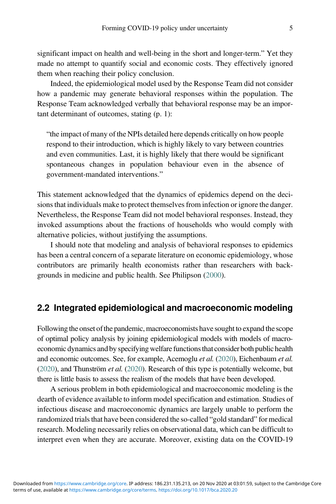significant impact on health and well-being in the short and longer-term." Yet they made no attempt to quantify social and economic costs. They effectively ignored them when reaching their policy conclusion.

Indeed, the epidemiological model used by the Response Team did not consider how a pandemic may generate behavioral responses within the population. The Response Team acknowledged verbally that behavioral response may be an important determinant of outcomes, stating (p. 1):

"the impact of many of the NPIs detailed here depends critically on how people respond to their introduction, which is highly likely to vary between countries and even communities. Last, it is highly likely that there would be significant spontaneous changes in population behaviour even in the absence of government-mandated interventions."

This statement acknowledged that the dynamics of epidemics depend on the decisions that individuals make to protect themselves from infection or ignore the danger. Nevertheless, the Response Team did not model behavioral responses. Instead, they invoked assumptions about the fractions of households who would comply with alternative policies, without justifying the assumptions.

I should note that modeling and analysis of behavioral responses to epidemics has been a central concern of a separate literature on economic epidemiology, whose contributors are primarily health economists rather than researchers with backgrounds in medicine and public health. See Philipson ([2000\)](#page-15-0).

#### 2.2 Integrated epidemiological and macroeconomic modeling

Following the onset of the pandemic, macroeconomists have sought to expand the scope of optimal policy analysis by joining epidemiological models with models of macroeconomic dynamics and by specifying welfare functions that consider both public health and economic outcomes. See, for example, Acemoglu et al. [\(2020\)](#page-13-2), Eichenbaum et al.  $(2020)$  $(2020)$ , and Thunström *et al.*  $(2020)$ . Research of this type is potentially welcome, but there is little basis to assess the realism of the models that have been developed.

A serious problem in both epidemiological and macroeconomic modeling is the dearth of evidence available to inform model specification and estimation. Studies of infectious disease and macroeconomic dynamics are largely unable to perform the randomized trials that have been considered the so-called "gold standard" for medical research. Modeling necessarily relies on observational data, which can be difficult to interpret even when they are accurate. Moreover, existing data on the COVID-19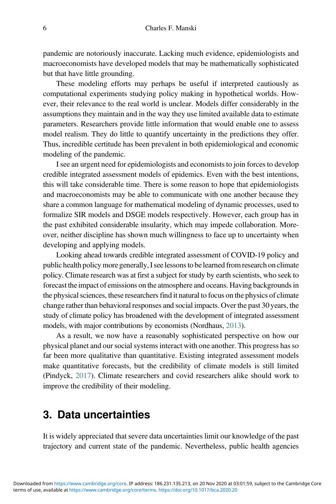pandemic are notoriously inaccurate. Lacking much evidence, epidemiologists and macroeconomists have developed models that may be mathematically sophisticated but that have little grounding.

These modeling efforts may perhaps be useful if interpreted cautiously as computational experiments studying policy making in hypothetical worlds. However, their relevance to the real world is unclear. Models differ considerably in the assumptions they maintain and in the way they use limited available data to estimate parameters. Researchers provide little information that would enable one to assess model realism. They do little to quantify uncertainty in the predictions they offer. Thus, incredible certitude has been prevalent in both epidemiological and economic modeling of the pandemic.

I see an urgent need for epidemiologists and economists to join forces to develop credible integrated assessment models of epidemics. Even with the best intentions, this will take considerable time. There is some reason to hope that epidemiologists and macroeconomists may be able to communicate with one another because they share a common language for mathematical modeling of dynamic processes, used to formalize SIR models and DSGE models respectively. However, each group has in the past exhibited considerable insularity, which may impede collaboration. Moreover, neither discipline has shown much willingness to face up to uncertainty when developing and applying models.

Looking ahead towards credible integrated assessment of COVID-19 policy and public health policy more generally, I see lessons to be learned from research on climate policy. Climate research was at first a subject for study by earth scientists, who seek to forecast the impact of emissions on the atmosphere and oceans. Having backgrounds in the physical sciences, these researchers find it natural to focus on the physics of climate change rather than behavioral responses and social impacts. Over the past 30 years, the study of climate policy has broadened with the development of integrated assessment models, with major contributions by economists (Nordhaus, [2013](#page-15-2)).

As a result, we now have a reasonably sophisticated perspective on how our physical planet and our social systems interact with one another. This progress has so far been more qualitative than quantitative. Existing integrated assessment models make quantitative forecasts, but the credibility of climate models is still limited (Pindyck, [2017](#page-15-3)). Climate researchers and covid researchers alike should work to improve the credibility of their modeling.

### <span id="page-5-0"></span>3. Data uncertainties

It is widely appreciated that severe data uncertainties limit our knowledge of the past trajectory and current state of the pandemic. Nevertheless, public health agencies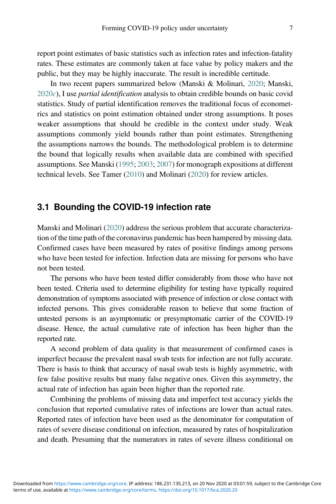report point estimates of basic statistics such as infection rates and infection-fatality rates. These estimates are commonly taken at face value by policy makers and the public, but they may be highly inaccurate. The result is incredible certitude.

In two recent papers summarized below (Manski & Molinari, [2020](#page-14-8); Manski, [2020](#page-14-9)c), I use partial identification analysis to obtain credible bounds on basic covid statistics. Study of partial identification removes the traditional focus of econometrics and statistics on point estimation obtained under strong assumptions. It poses weaker assumptions that should be credible in the context under study. Weak assumptions commonly yield bounds rather than point estimates. Strengthening the assumptions narrows the bounds. The methodological problem is to determine the bound that logically results when available data are combined with specified assumptions. See Manski [\(1995](#page-13-4); [2003;](#page-14-10) [2007](#page-14-11)) for monograph expositions at different technical levels. See Tamer [\(2010](#page-15-4)) and Molinari [\(2020\)](#page-15-5) for review articles.

#### <span id="page-6-0"></span>3.1 Bounding the COVID-19 infection rate

Manski and Molinari ([2020\)](#page-14-8) address the serious problem that accurate characterization of the time path of the coronavirus pandemic has been hampered by missing data. Confirmed cases have been measured by rates of positive findings among persons who have been tested for infection. Infection data are missing for persons who have not been tested.

The persons who have been tested differ considerably from those who have not been tested. Criteria used to determine eligibility for testing have typically required demonstration of symptoms associated with presence of infection or close contact with infected persons. This gives considerable reason to believe that some fraction of untested persons is an asymptomatic or presymptomatic carrier of the COVID-19 disease. Hence, the actual cumulative rate of infection has been higher than the reported rate.

A second problem of data quality is that measurement of confirmed cases is imperfect because the prevalent nasal swab tests for infection are not fully accurate. There is basis to think that accuracy of nasal swab tests is highly asymmetric, with few false positive results but many false negative ones. Given this asymmetry, the actual rate of infection has again been higher than the reported rate.

Combining the problems of missing data and imperfect test accuracy yields the conclusion that reported cumulative rates of infections are lower than actual rates. Reported rates of infection have been used as the denominator for computation of rates of severe disease conditional on infection, measured by rates of hospitalization and death. Presuming that the numerators in rates of severe illness conditional on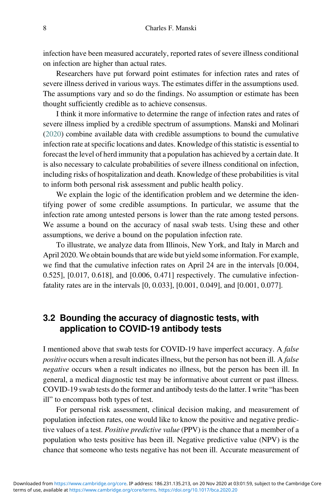infection have been measured accurately, reported rates of severe illness conditional on infection are higher than actual rates.

Researchers have put forward point estimates for infection rates and rates of severe illness derived in various ways. The estimates differ in the assumptions used. The assumptions vary and so do the findings. No assumption or estimate has been thought sufficiently credible as to achieve consensus.

I think it more informative to determine the range of infection rates and rates of severe illness implied by a credible spectrum of assumptions. Manski and Molinari ([2020\)](#page-14-8) combine available data with credible assumptions to bound the cumulative infection rate at specific locations and dates. Knowledge of this statistic is essential to forecast the level of herd immunity that a population has achieved by a certain date. It is also necessary to calculate probabilities of severe illness conditional on infection, including risks of hospitalization and death. Knowledge of these probabilities is vital to inform both personal risk assessment and public health policy.

We explain the logic of the identification problem and we determine the identifying power of some credible assumptions. In particular, we assume that the infection rate among untested persons is lower than the rate among tested persons. We assume a bound on the accuracy of nasal swab tests. Using these and other assumptions, we derive a bound on the population infection rate.

To illustrate, we analyze data from Illinois, New York, and Italy in March and April 2020. We obtain bounds that are wide but yield some information. For example, we find that the cumulative infection rates on April 24 are in the intervals [0.004, 0.525], [0.017, 0.618], and [0.006, 0.471] respectively. The cumulative infectionfatality rates are in the intervals [0, 0.033], [0.001, 0.049], and [0.001, 0.077].

### 3.2 Bounding the accuracy of diagnostic tests, with application to COVID-19 antibody tests

I mentioned above that swab tests for COVID-19 have imperfect accuracy. A false positive occurs when a result indicates illness, but the person has not been ill. A *false* negative occurs when a result indicates no illness, but the person has been ill. In general, a medical diagnostic test may be informative about current or past illness. COVID-19 swab tests do the former and antibody tests do the latter. I write "has been ill" to encompass both types of test.

For personal risk assessment, clinical decision making, and measurement of population infection rates, one would like to know the positive and negative predictive values of a test. Positive predictive value (PPV) is the chance that a member of a population who tests positive has been ill. Negative predictive value (NPV) is the chance that someone who tests negative has not been ill. Accurate measurement of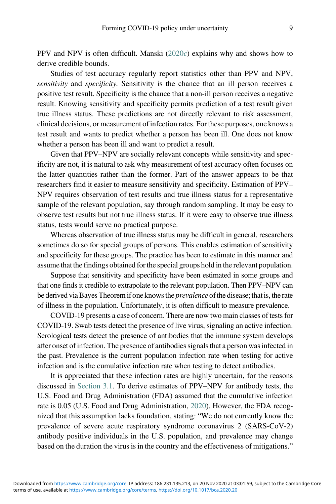PPV and NPV is often difficult. Manski  $(2020c)$  $(2020c)$  explains why and shows how to derive credible bounds.

Studies of test accuracy regularly report statistics other than PPV and NPV, sensitivity and *specificity*. Sensitivity is the chance that an ill person receives a positive test result. Specificity is the chance that a non-ill person receives a negative result. Knowing sensitivity and specificity permits prediction of a test result given true illness status. These predictions are not directly relevant to risk assessment, clinical decisions, or measurement of infection rates. For these purposes, one knows a test result and wants to predict whether a person has been ill. One does not know whether a person has been ill and want to predict a result.

Given that PPV–NPV are socially relevant concepts while sensitivity and specificity are not, it is natural to ask why measurement of test accuracy often focuses on the latter quantities rather than the former. Part of the answer appears to be that researchers find it easier to measure sensitivity and specificity. Estimation of PPV– NPV requires observation of test results and true illness status for a representative sample of the relevant population, say through random sampling. It may be easy to observe test results but not true illness status. If it were easy to observe true illness status, tests would serve no practical purpose.

Whereas observation of true illness status may be difficult in general, researchers sometimes do so for special groups of persons. This enables estimation of sensitivity and specificity for these groups. The practice has been to estimate in this manner and assume that the findings obtained for the special groups hold in the relevant population.

Suppose that sensitivity and specificity have been estimated in some groups and that one finds it credible to extrapolate to the relevant population. Then PPV–NPV can be derived via Bayes Theorem if one knows the *prevalence* of the disease; that is, the rate of illness in the population. Unfortunately, it is often difficult to measure prevalence.

COVID-19 presents a case of concern. There are now two main classes of tests for COVID-19. Swab tests detect the presence of live virus, signaling an active infection. Serological tests detect the presence of antibodies that the immune system develops after onset of infection. The presence of antibodies signals that a person was infected in the past. Prevalence is the current population infection rate when testing for active infection and is the cumulative infection rate when testing to detect antibodies.

It is appreciated that these infection rates are highly uncertain, for the reasons discussed in [Section 3.1.](#page-6-0) To derive estimates of PPV–NPV for antibody tests, the U.S. Food and Drug Administration (FDA) assumed that the cumulative infection rate is 0.05 (U.S. Food and Drug Administration, [2020\)](#page-15-6). However, the FDA recognized that this assumption lacks foundation, stating: "We do not currently know the prevalence of severe acute respiratory syndrome coronavirus 2 (SARS-CoV-2) antibody positive individuals in the U.S. population, and prevalence may change based on the duration the virus is in the country and the effectiveness of mitigations."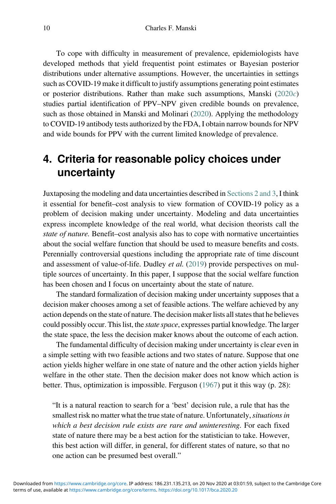To cope with difficulty in measurement of prevalence, epidemiologists have developed methods that yield frequentist point estimates or Bayesian posterior distributions under alternative assumptions. However, the uncertainties in settings such as COVID-19 make it difficult to justify assumptions generating point estimates or posterior distributions. Rather than make such assumptions, Manski ([2020](#page-14-9)c) studies partial identification of PPV–NPV given credible bounds on prevalence, such as those obtained in Manski and Molinari [\(2020](#page-14-8)). Applying the methodology to COVID-19 antibody tests authorized by the FDA, I obtain narrow bounds for NPV and wide bounds for PPV with the current limited knowledge of prevalence.

### <span id="page-9-0"></span>4. Criteria for reasonable policy choices under uncertainty

Juxtaposing the modeling and data uncertainties described in Sections 2 and 3, I think it essential for benefit–cost analysis to view formation of COVID-19 policy as a problem of decision making under uncertainty. Modeling and data uncertainties express incomplete knowledge of the real world, what decision theorists call the state of nature. Benefit–cost analysis also has to cope with normative uncertainties about the social welfare function that should be used to measure benefits and costs. Perennially controversial questions including the appropriate rate of time discount and assessment of value-of-life. Dudley et al. [\(2019](#page-13-5)) provide perspectives on multiple sources of uncertainty. In this paper, I suppose that the social welfare function has been chosen and I focus on uncertainty about the state of nature.

The standard formalization of decision making under uncertainty supposes that a decision maker chooses among a set of feasible actions. The welfare achieved by any action depends on the state of nature. The decision maker lists all states that he believes could possibly occur. This list, the state space, expresses partial knowledge. The larger the state space, the less the decision maker knows about the outcome of each action.

The fundamental difficulty of decision making under uncertainty is clear even in a simple setting with two feasible actions and two states of nature. Suppose that one action yields higher welfare in one state of nature and the other action yields higher welfare in the other state. Then the decision maker does not know which action is better. Thus, optimization is impossible. Ferguson ([1967\)](#page-13-6) put it this way (p. 28):

"It is a natural reaction to search for a 'best' decision rule, a rule that has the smallest risk no matter what the true state of nature. Unfortunately, *situations in* which a best decision rule exists are rare and uninteresting. For each fixed state of nature there may be a best action for the statistician to take. However, this best action will differ, in general, for different states of nature, so that no one action can be presumed best overall."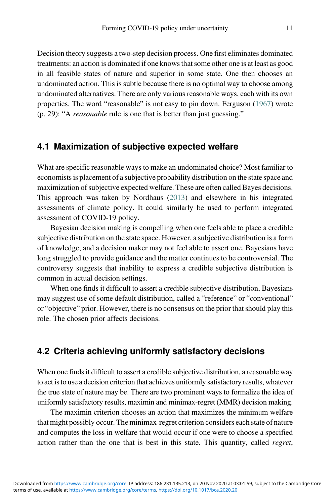Decision theory suggests a two-step decision process. One first eliminates dominated treatments: an action is dominated if one knows that some other one is at least as good in all feasible states of nature and superior in some state. One then chooses an undominated action. This is subtle because there is no optimal way to choose among undominated alternatives. There are only various reasonable ways, each with its own properties. The word "reasonable" is not easy to pin down. Ferguson [\(1967](#page-13-6)) wrote (p. 29): "A reasonable rule is one that is better than just guessing."

#### 4.1 Maximization of subjective expected welfare

What are specific reasonable ways to make an undominated choice? Most familiar to economists is placement of a subjective probability distribution on the state space and maximization of subjective expected welfare. These are often called Bayes decisions. This approach was taken by Nordhaus ([2013\)](#page-15-2) and elsewhere in his integrated assessments of climate policy. It could similarly be used to perform integrated assessment of COVID-19 policy.

Bayesian decision making is compelling when one feels able to place a credible subjective distribution on the state space. However, a subjective distribution is a form of knowledge, and a decision maker may not feel able to assert one. Bayesians have long struggled to provide guidance and the matter continues to be controversial. The controversy suggests that inability to express a credible subjective distribution is common in actual decision settings.

When one finds it difficult to assert a credible subjective distribution, Bayesians may suggest use of some default distribution, called a "reference" or "conventional" or "objective" prior. However, there is no consensus on the prior that should play this role. The chosen prior affects decisions.

#### 4.2 Criteria achieving uniformly satisfactory decisions

When one finds it difficult to assert a credible subjective distribution, a reasonable way to act is to use a decision criterion that achieves uniformly satisfactory results, whatever the true state of nature may be. There are two prominent ways to formalize the idea of uniformly satisfactory results, maximin and minimax-regret (MMR) decision making.

The maximin criterion chooses an action that maximizes the minimum welfare that might possibly occur. The minimax-regret criterion considers each state of nature and computes the loss in welfare that would occur if one were to choose a specified action rather than the one that is best in this state. This quantity, called regret,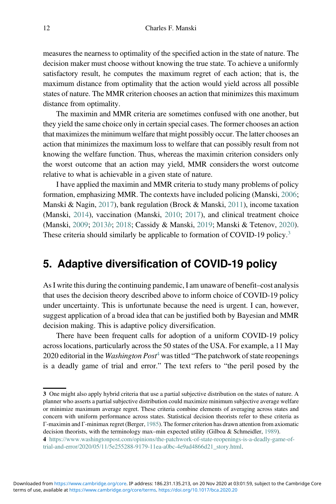measures the nearness to optimality of the specified action in the state of nature. The decision maker must choose without knowing the true state. To achieve a uniformly satisfactory result, he computes the maximum regret of each action; that is, the maximum distance from optimality that the action would yield across all possible states of nature. The MMR criterion chooses an action that minimizes this maximum distance from optimality.

The maximin and MMR criteria are sometimes confused with one another, but they yield the same choice only in certain special cases. The former chooses an action that maximizes the minimum welfare that might possibly occur. The latter chooses an action that minimizes the maximum loss to welfare that can possibly result from not knowing the welfare function. Thus, whereas the maximin criterion considers only the worst outcome that an action may yield, MMR considers the worst outcome relative to what is achievable in a given state of nature.

I have applied the maximin and MMR criteria to study many problems of policy formation, emphasizing MMR. The contexts have included policing (Manski, [2006](#page-14-12); Manski & Nagin, [2017](#page-14-13)), bank regulation (Brock & Manski, [2011\)](#page-13-7), income taxation (Manski, [2014](#page-14-14)), vaccination (Manski, [2010;](#page-14-15) [2017\)](#page-14-16), and clinical treatment choice (Manski, [2009](#page-14-6); [2013](#page-14-17)b; [2018;](#page-14-18) Cassidy & Manski, [2019](#page-13-8); Manski & Tetenov, [2020](#page-14-19)). These criteria should similarly be applicable to formation of COVID-19 policy.<sup>[3](#page-11-1)</sup>

### <span id="page-11-0"></span>5. Adaptive diversification of COVID-19 policy

As I write this during the continuing pandemic, I am unaware of benefit–cost analysis that uses the decision theory described above to inform choice of COVID-19 policy under uncertainty. This is unfortunate because the need is urgent. I can, however, suggest application of a broad idea that can be justified both by Bayesian and MMR decision making. This is adaptive policy diversification.

There have been frequent calls for adoption of a uniform COVID-19 policy across locations, particularly across the 50 states of the USA. For example, a 11 May 2020 editorial in the *Washington Post<sup>[4](#page-11-2)</sup>* was titled "The patchwork of state reopenings is a deadly game of trial and error." The text refers to "the peril posed by the

<span id="page-11-1"></span><sup>3</sup> One might also apply hybrid criteria that use a partial subjective distribution on the states of nature. A planner who asserts a partial subjective distribution could maximize minimum subjective average welfare or minimize maximum average regret. These criteria combine elements of averaging across states and concern with uniform performance across states. Statistical decision theorists refer to these criteria as Γ-maximin and Γ-minimax regret (Berger, [1985](#page-13-9)). The former criterion has drawn attention from axiomatic decision theorists, with the terminology max–min expected utility (Gilboa & Schmeidler, [1989](#page-13-10)).

<span id="page-11-2"></span><sup>4</sup> [https://www.washingtonpost.com/opinions/the-patchwork-of-state-reopenings-is-a-deadly-game-of](https://www.washingtonpost.com/opinions/the-patchwork-of-state-reopenings-is-a-deadly-game-of-trial-and-error/2020/05/11/5e255288-9179-11ea-a0bc-4e9ad4866d21_story.html)[trial-and-error/2020/05/11/5e255288-9179-11ea-a0bc-4e9ad4866d21\\_story.html.](https://www.washingtonpost.com/opinions/the-patchwork-of-state-reopenings-is-a-deadly-game-of-trial-and-error/2020/05/11/5e255288-9179-11ea-a0bc-4e9ad4866d21_story.html)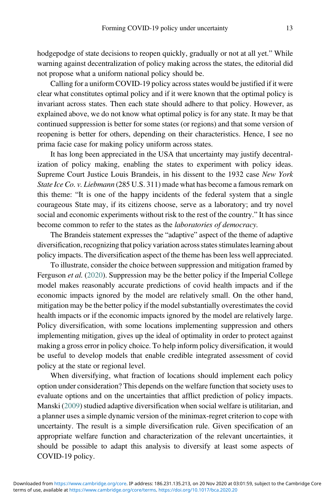hodgepodge of state decisions to reopen quickly, gradually or not at all yet." While warning against decentralization of policy making across the states, the editorial did not propose what a uniform national policy should be.

Calling for a uniform COVID-19 policy across states would be justified if it were clear what constitutes optimal policy and if it were known that the optimal policy is invariant across states. Then each state should adhere to that policy. However, as explained above, we do not know what optimal policy is for any state. It may be that continued suppression is better for some states (or regions) and that some version of reopening is better for others, depending on their characteristics. Hence, I see no prima facie case for making policy uniform across states.

It has long been appreciated in the USA that uncertainty may justify decentralization of policy making, enabling the states to experiment with policy ideas. Supreme Court Justice Louis Brandeis, in his dissent to the 1932 case New York State Ice Co. v. Liebmann (285 U.S. 311) made what has become a famous remark on this theme: "It is one of the happy incidents of the federal system that a single courageous State may, if its citizens choose, serve as a laboratory; and try novel social and economic experiments without risk to the rest of the country." It has since become common to refer to the states as the laboratories of democracy.

The Brandeis statement expresses the "adaptive" aspect of the theme of adaptive diversification, recognizing that policy variation across states stimulates learning about policy impacts. The diversification aspect of the theme has been less well appreciated.

To illustrate, consider the choice between suppression and mitigation framed by Ferguson et al. [\(2020](#page-13-1)). Suppression may be the better policy if the Imperial College model makes reasonably accurate predictions of covid health impacts and if the economic impacts ignored by the model are relatively small. On the other hand, mitigation may be the better policy if the model substantially overestimates the covid health impacts or if the economic impacts ignored by the model are relatively large. Policy diversification, with some locations implementing suppression and others implementing mitigation, gives up the ideal of optimality in order to protect against making a gross error in policy choice. To help inform policy diversification, it would be useful to develop models that enable credible integrated assessment of covid policy at the state or regional level.

When diversifying, what fraction of locations should implement each policy option under consideration? This depends on the welfare function that society uses to evaluate options and on the uncertainties that afflict prediction of policy impacts. Manski ([2009\)](#page-14-6) studied adaptive diversification when social welfare is utilitarian, and a planner uses a simple dynamic version of the minimax-regret criterion to cope with uncertainty. The result is a simple diversification rule. Given specification of an appropriate welfare function and characterization of the relevant uncertainties, it should be possible to adapt this analysis to diversify at least some aspects of COVID-19 policy.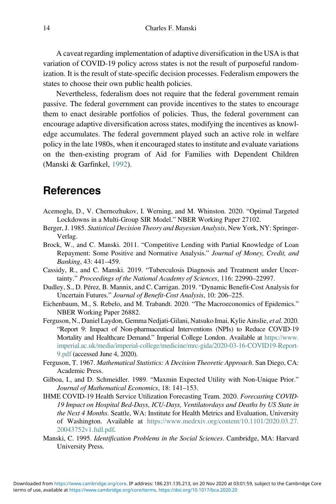A caveat regarding implementation of adaptive diversification in the USA is that variation of COVID-19 policy across states is not the result of purposeful randomization. It is the result of state-specific decision processes. Federalism empowers the states to choose their own public health policies.

Nevertheless, federalism does not require that the federal government remain passive. The federal government can provide incentives to the states to encourage them to enact desirable portfolios of policies. Thus, the federal government can encourage adaptive diversification across states, modifying the incentives as knowledge accumulates. The federal government played such an active role in welfare policy in the late 1980s, when it encouraged states to institute and evaluate variations on the then-existing program of Aid for Families with Dependent Children (Manski & Garfinkel, [1992\)](#page-14-20).

### **References**

- <span id="page-13-2"></span>Acemoglu, D., V. Chernozhukov, I. Werning, and M. Whinston. 2020. "Optimal Targeted Lockdowns in a Multi-Group SIR Model." NBER Working Paper 27102.
- <span id="page-13-9"></span>Berger, J. 1985. Statistical Decision Theory and Bayesian Analysis, New York, NY: Springer-Verlag.
- <span id="page-13-7"></span>Brock, W., and C. Manski. 2011. "Competitive Lending with Partial Knowledge of Loan Repayment: Some Positive and Normative Analysis." Journal of Money, Credit, and Banking, 43: 441–459.
- <span id="page-13-8"></span>Cassidy, R., and C. Manski. 2019. "Tuberculosis Diagnosis and Treatment under Uncertainty." Proceedings of the National Academy of Sciences, 116: 22990–22997.
- <span id="page-13-5"></span>Dudley, S., D. Pérez, B. Mannix, and C. Carrigan. 2019. "Dynamic Benefit-Cost Analysis for Uncertain Futures." Journal of Benefit-Cost Analysis, 10: 206–225.
- <span id="page-13-3"></span>Eichenbaum, M., S. Rebelo, and M. Trabandt. 2020. "The Macroeconomics of Epidemics." NBER Working Paper 26882.
- <span id="page-13-1"></span>Ferguson, N., Daniel Laydon, Gemma Nedjati-Gilani, Natsuko Imai, Kylie Ainslie, et al. 2020. "Report 9: Impact of Non-pharmaceutical Interventions (NPIs) to Reduce COVID-19 Mortality and Healthcare Demand." Imperial College London. Available at [https://www.](https://www.imperial.ac.uk/media/imperial-college/medicine/mrc-gida/2020-03-16-COVID19-Report-9.pdf) [imperial.ac.uk/media/imperial-college/medicine/mrc-gida/2020-03-16-COVID19-Report-](https://www.imperial.ac.uk/media/imperial-college/medicine/mrc-gida/2020-03-16-COVID19-Report-9.pdf)[9.pdf](https://www.imperial.ac.uk/media/imperial-college/medicine/mrc-gida/2020-03-16-COVID19-Report-9.pdf) (accessed June 4, 2020).
- <span id="page-13-6"></span>Ferguson, T. 1967. Mathematical Statistics: A Decision Theoretic Approach. San Diego, CA: Academic Press.
- <span id="page-13-10"></span>Gilboa, I., and D. Schmeidler. 1989. "Maxmin Expected Utility with Non-Unique Prior." Journal of Mathematical Economics, 18: 141–153.
- <span id="page-13-0"></span>IHME COVID-19 Health Service Utilization Forecasting Team. 2020. Forecasting COVID-19 Impact on Hospital Bed-Days, ICU-Days, Ventilatordays and Deaths by US State in the Next 4 Months. Seattle, WA: Institute for Health Metrics and Evaluation, University of Washington. Available at [https://www.medrxiv.org/content/10.1101/2020.03.27.](https://www.medrxiv.org/content/10.1101/2020.03.27.20043752v1.full.pdf) [20043752v1.full.pdf.](https://www.medrxiv.org/content/10.1101/2020.03.27.20043752v1.full.pdf)
- <span id="page-13-4"></span>Manski, C. 1995. Identification Problems in the Social Sciences. Cambridge, MA: Harvard University Press.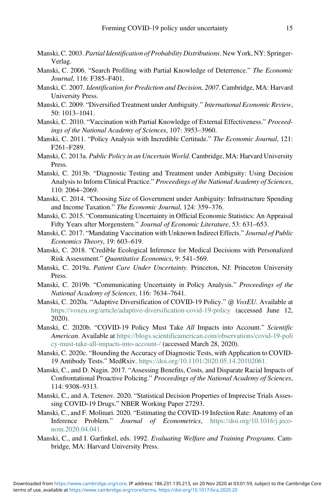- <span id="page-14-10"></span>Manski, C. 2003. Partial Identification of Probability Distributions. New York, NY: Springer-Verlag.
- <span id="page-14-12"></span>Manski, C. 2006. "Search Profiling with Partial Knowledge of Deterrence." The Economic Journal, 116: F385–F401.
- <span id="page-14-11"></span>Manski, C. 2007. Identification for Prediction and Decision, 2007. Cambridge, MA: Harvard University Press.
- <span id="page-14-6"></span>Manski, C. 2009. "Diversified Treatment under Ambiguity." International Economic Review, 50: 1013–1041.
- <span id="page-14-15"></span>Manski, C. 2010. "Vaccination with Partial Knowledge of External Effectiveness." Proceedings of the National Academy of Sciences, 107: 3953–3960.
- <span id="page-14-2"></span>Manski, C. 2011. "Policy Analysis with Incredible Certitude." The Economic Journal, 121: F261–F289.
- <span id="page-14-0"></span>Manski, C. 2013a. Public Policy in an Uncertain World. Cambridge, MA: Harvard University Press.
- <span id="page-14-17"></span>Manski, C. 2013b. "Diagnostic Testing and Treatment under Ambiguity: Using Decision Analysis to Inform Clinical Practice." Proceedings of the National Academy of Sciences, 110: 2064–2069.
- <span id="page-14-14"></span>Manski, C. 2014. "Choosing Size of Government under Ambiguity: Infrastructure Spending and Income Taxation." The Economic Journal, 124: 359–376.
- <span id="page-14-3"></span>Manski, C. 2015. "Communicating Uncertainty in Official Economic Statistics: An Appraisal Fifty Years after Morgenstern." Journal of Economic Literature, 53: 631–653.
- <span id="page-14-18"></span><span id="page-14-16"></span>Manski, C. 2017. "Mandating Vaccination with Unknown Indirect Effects." Journal of Public Economics Theory, 19: 603–619.
- <span id="page-14-1"></span>Manski, C. 2018. "Credible Ecological Inference for Medical Decisions with Personalized Risk Assessment." Quantitative Economics, 9: 541–569.
- <span id="page-14-4"></span>Manski, C. 2019a. Patient Care Under Uncertainty. Princeton, NJ: Princeton University Press.
- <span id="page-14-5"></span>Manski, C. 2019b. "Communicating Uncertainty in Policy Analysis." Proceedings of the National Academy of Sciences, 116: 7634–7641.
- Manski, C. 2020a. "Adaptive Diversification of COVID-19 Policy." @ VoxEU. Available at <https://voxeu.org/article/adaptive-diversification-covid-19-policy> (accessed June 12, 2020).
- <span id="page-14-7"></span>Manski, C. 2020b. "COVID-19 Policy Must Take All Impacts into Account." Scientific https://voxeu.org/article/adaptive-diversification-covid-19-policy (accessed June 12,<br>2020).<br>kki, C. 2020b. "COVID-19 Policy Must Take *All* Impacts into Account." *Scientific*<br>*American*. Available at https://blogs.scient 2020).<br>kki, C. 2020b. "COVID-19 Policy Must Take *All* Impacts into *A*<br>*American*. Available at https://blogs.scientificamerican.com/observa<br>cy-must-take-all-impacts-into-[account](https://blogs.scientificamerican.com/observations/covid19policymusttakeallimpactsintoaccount/)-/ (accessed March 28, 2020).
- <span id="page-14-13"></span><span id="page-14-9"></span>Manski, C. 2020c. "Bounding the Accuracy of Diagnostic Tests, with Application to COVID-19 Antibody Tests." MedRxiv. [https://doi.org/10.1101/2020.05.14.20102061.](https://doi.org/https://doi.org/10.1101/2020.05.14.20102061)
- Manski, C., and D. Nagin. 2017. "Assessing Benefits, Costs, and Disparate Racial Impacts of Confrontational Proactive Policing." Proceedings of the National Academy of Sciences, 114: 9308–9313.
- <span id="page-14-19"></span><span id="page-14-8"></span>Manski, C., and A. Tetenov. 2020. "Statistical Decision Properties of Imprecise Trials Assessing COVID-19 Drugs." NBER Working Paper 27293.
- <span id="page-14-20"></span>Manski, C., and F. Molinari. 2020. "Estimating the COVID-19 Infection Rate: Anatomy of an Inference Problem." Journal of Econometrics, [https://doi.org/10.1016/j.jeco](https://doi.org/https://doi.org/10.1016/j.jeconom.2020.04.041)[nom.2020.04.041.](https://doi.org/https://doi.org/10.1016/j.jeconom.2020.04.041)
- Manski, C., and I. Garfinkel, eds. 1992. Evaluating Welfare and Training Programs. Cambridge, MA: Harvard University Press.